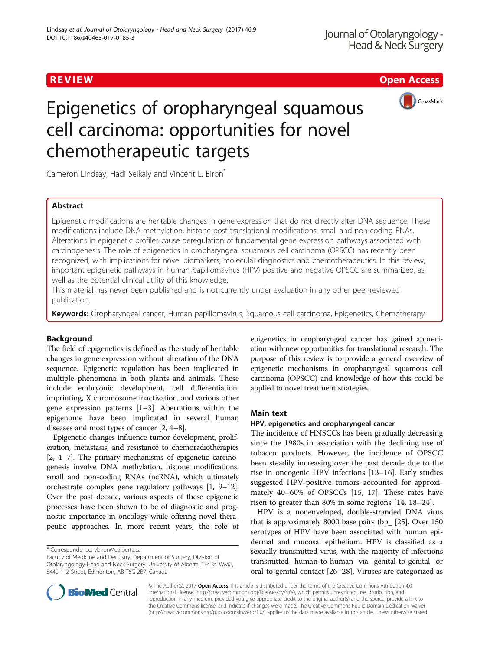# REVIEW **REVIEW REVIEW CONSTRUCTER CONSTRUCTS**



# Epigenetics of oropharyngeal squamous cell carcinoma: opportunities for novel chemotherapeutic targets

Cameron Lindsay, Hadi Seikaly and Vincent L. Biron<sup>\*</sup>

# Abstract

Epigenetic modifications are heritable changes in gene expression that do not directly alter DNA sequence. These modifications include DNA methylation, histone post-translational modifications, small and non-coding RNAs. Alterations in epigenetic profiles cause deregulation of fundamental gene expression pathways associated with carcinogenesis. The role of epigenetics in oropharyngeal squamous cell carcinoma (OPSCC) has recently been recognized, with implications for novel biomarkers, molecular diagnostics and chemotherapeutics. In this review, important epigenetic pathways in human papillomavirus (HPV) positive and negative OPSCC are summarized, as well as the potential clinical utility of this knowledge.

This material has never been published and is not currently under evaluation in any other peer-reviewed publication.

Keywords: Oropharyngeal cancer, Human papillomavirus, Squamous cell carcinoma, Epigenetics, Chemotherapy

# Background

The field of epigenetics is defined as the study of heritable changes in gene expression without alteration of the DNA sequence. Epigenetic regulation has been implicated in multiple phenomena in both plants and animals. These include embryonic development, cell differentiation, imprinting, X chromosome inactivation, and various other gene expression patterns [[1](#page-6-0)–[3](#page-6-0)]. Aberrations within the epigenome have been implicated in several human diseases and most types of cancer [\[2](#page-6-0), [4](#page-6-0)–[8](#page-6-0)].

Epigenetic changes influence tumor development, proliferation, metastasis, and resistance to chemoradiotherapies [[2](#page-6-0), [4](#page-6-0)–[7\]](#page-6-0). The primary mechanisms of epigenetic carcinogenesis involve DNA methylation, histone modifications, small and non-coding RNAs (ncRNA), which ultimately orchestrate complex gene regulatory pathways [\[1, 9](#page-6-0)–[12](#page-6-0)]. Over the past decade, various aspects of these epigenetic processes have been shown to be of diagnostic and prognostic importance in oncology while offering novel therapeutic approaches. In more recent years, the role of epigenetics in oropharyngeal cancer has gained appreciation with new opportunities for translational research. The purpose of this review is to provide a general overview of epigenetic mechanisms in oropharyngeal squamous cell carcinoma (OPSCC) and knowledge of how this could be applied to novel treatment strategies.

# Main text

## HPV, epigenetics and oropharyngeal cancer

The incidence of HNSCCs has been gradually decreasing since the 1980s in association with the declining use of tobacco products. However, the incidence of OPSCC been steadily increasing over the past decade due to the rise in oncogenic HPV infections [[13](#page-6-0)–[16\]](#page-6-0). Early studies suggested HPV-positive tumors accounted for approximately 40–60% of OPSCCs [[15, 17\]](#page-6-0). These rates have risen to greater than 80% in some regions [\[14, 18](#page-6-0)–[24\]](#page-6-0).

HPV is a nonenveloped, double-stranded DNA virus that is approximately 8000 base pairs (bp\_ [\[25\]](#page-6-0). Over 150 serotypes of HPV have been associated with human epidermal and mucosal epithelium. HPV is classified as a sexually transmitted virus, with the majority of infections transmitted human-to-human via genital-to-genital or oral-to genital contact [\[26](#page-6-0)–[28](#page-6-0)]. Viruses are categorized as



© The Author(s). 2017 Open Access This article is distributed under the terms of the Creative Commons Attribution 4.0 International License [\(http://creativecommons.org/licenses/by/4.0/](http://creativecommons.org/licenses/by/4.0/)), which permits unrestricted use, distribution, and reproduction in any medium, provided you give appropriate credit to the original author(s) and the source, provide a link to the Creative Commons license, and indicate if changes were made. The Creative Commons Public Domain Dedication waiver [\(http://creativecommons.org/publicdomain/zero/1.0/](http://creativecommons.org/publicdomain/zero/1.0/)) applies to the data made available in this article, unless otherwise stated.

<sup>\*</sup> Correspondence: [vbiron@ualberta.ca](mailto:vbiron@ualberta.ca)

Faculty of Medicine and Dentistry, Department of Surgery, Division of Otolaryngology-Head and Neck Surgery, University of Alberta, 1E4.34 WMC, 8440 112 Street, Edmonton, AB T6G 2B7, Canada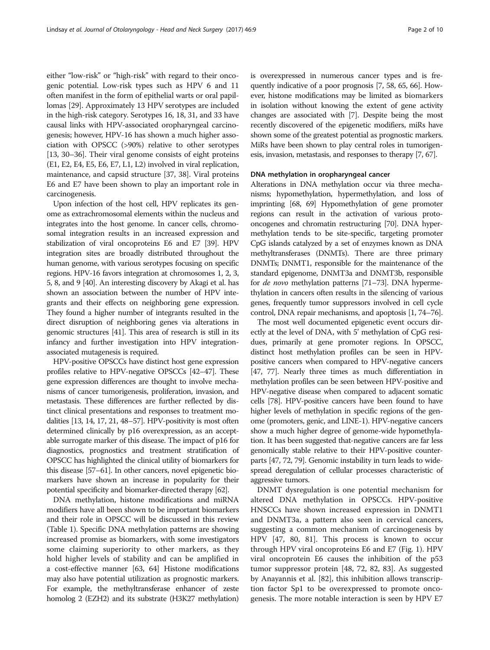either "low-risk" or "high-risk" with regard to their oncogenic potential. Low-risk types such as HPV 6 and 11 often manifest in the form of epithelial warts or oral papillomas [\[29](#page-6-0)]. Approximately 13 HPV serotypes are included in the high-risk category. Serotypes 16, 18, 31, and 33 have causal links with HPV-associated oropharyngeal carcinogenesis; however, HPV-16 has shown a much higher association with OPSCC (>90%) relative to other serotypes [[13](#page-6-0), [30](#page-6-0)–[36\]](#page-6-0). Their viral genome consists of eight proteins (E1, E2, E4, E5, E6, E7, L1, L2) involved in viral replication, maintenance, and capsid structure [\[37,](#page-6-0) [38\]](#page-7-0). Viral proteins E6 and E7 have been shown to play an important role in carcinogenesis.

Upon infection of the host cell, HPV replicates its genome as extrachromosomal elements within the nucleus and integrates into the host genome. In cancer cells, chromosomal integration results in an increased expression and stabilization of viral oncoproteins E6 and E7 [[39](#page-7-0)]. HPV integration sites are broadly distributed throughout the human genome, with various serotypes focusing on specific regions. HPV-16 favors integration at chromosomes 1, 2, 3, 5, 8, and 9 [\[40\]](#page-7-0). An interesting discovery by Akagi et al. has shown an association between the number of HPV integrants and their effects on neighboring gene expression. They found a higher number of integrants resulted in the direct disruption of neighboring genes via alterations in genomic structures [[41](#page-7-0)]. This area of research is still in its infancy and further investigation into HPV integrationassociated mutagenesis is required.

HPV-positive OPSCCs have distinct host gene expression profiles relative to HPV-negative OPSCCs [\[42](#page-7-0)–[47\]](#page-7-0). These gene expression differences are thought to involve mechanisms of cancer tumorigenesis, proliferation, invasion, and metastasis. These differences are further reflected by distinct clinical presentations and responses to treatment modalities [[13, 14](#page-6-0), [17, 21,](#page-6-0) [48](#page-7-0)–[57](#page-7-0)]. HPV-positivity is most often determined clinically by p16 overexpression, as an acceptable surrogate marker of this disease. The impact of p16 for diagnostics, prognostics and treatment stratification of OPSCC has highlighted the clinical utility of biomarkers for this disease [\[57](#page-7-0)–[61\]](#page-7-0). In other cancers, novel epigenetic biomarkers have shown an increase in popularity for their potential specificity and biomarker-directed therapy [\[62\]](#page-7-0).

DNA methylation, histone modifications and miRNA modifiers have all been shown to be important biomarkers and their role in OPSCC will be discussed in this review (Table [1](#page-2-0)). Specific DNA methylation patterns are showing increased promise as biomarkers, with some investigators some claiming superiority to other markers, as they hold higher levels of stability and can be amplified in a cost-effective manner [[63, 64\]](#page-7-0) Histone modifications may also have potential utilization as prognostic markers. For example, the methyltransferase enhancer of zeste homolog 2 (EZH2) and its substrate (H3K27 methylation)

is overexpressed in numerous cancer types and is frequently indicative of a poor prognosis [\[7,](#page-6-0) [58](#page-7-0), [65, 66](#page-7-0)]. However, histone modifications may be limited as biomarkers in isolation without knowing the extent of gene activity changes are associated with [[7](#page-6-0)]. Despite being the most recently discovered of the epigenetic modifiers, miRs have shown some of the greatest potential as prognostic markers. MiRs have been shown to play central roles in tumorigenesis, invasion, metastasis, and responses to therapy [\[7,](#page-6-0) [67\]](#page-7-0).

#### DNA methylation in oropharyngeal cancer

Alterations in DNA methylation occur via three mechanisms; hypomethylation, hypermethylation, and loss of imprinting [\[68](#page-7-0), [69\]](#page-7-0) Hypomethylation of gene promoter regions can result in the activation of various protooncogenes and chromatin restructuring [\[70](#page-7-0)]. DNA hypermethylation tends to be site-specific, targeting promoter CpG islands catalyzed by a set of enzymes known as DNA methyltransferases (DNMTs). There are three primary DNMTs; DNMT1, responsible for the maintenance of the standard epigenome, DNMT3a and DNMT3b, responsible for de novo methylation patterns [[71](#page-7-0)–[73](#page-7-0)]. DNA hypermethylation in cancers often results in the silencing of various genes, frequently tumor suppressors involved in cell cycle control, DNA repair mechanisms, and apoptosis [\[1](#page-6-0), [74](#page-7-0)–[76](#page-7-0)].

The most well documented epigenetic event occurs directly at the level of DNA, with 5' methylation of CpG residues, primarily at gene promoter regions. In OPSCC, distinct host methylation profiles can be seen in HPVpositive cancers when compared to HPV-negative cancers [[47](#page-7-0), [77](#page-7-0)]. Nearly three times as much differentiation in methylation profiles can be seen between HPV-positive and HPV-negative disease when compared to adjacent somatic cells [[78\]](#page-7-0). HPV-positive cancers have been found to have higher levels of methylation in specific regions of the genome (promoters, genic, and LINE-1). HPV-negative cancers show a much higher degree of genome-wide hypomethylation. It has been suggested that-negative cancers are far less genomically stable relative to their HPV-positive counterparts [[47](#page-7-0), [72](#page-7-0), [79](#page-7-0)]. Genomic instability in turn leads to widespread deregulation of cellular processes characteristic of aggressive tumors.

DNMT dysregulation is one potential mechanism for altered DNA methylation in OPSCCs. HPV-positive HNSCCs have shown increased expression in DNMT1 and DNMT3a, a pattern also seen in cervical cancers, suggesting a common mechanism of carcinogenesis by HPV [\[47](#page-7-0), [80](#page-7-0), [81\]](#page-7-0). This process is known to occur through HPV viral oncoproteins E6 and E7 (Fig. [1](#page-3-0)). HPV viral oncoprotein E6 causes the inhibition of the p53 tumor suppressor protein [\[48](#page-7-0), [72, 82,](#page-7-0) [83](#page-8-0)]. As suggested by Anayannis et al. [\[82](#page-7-0)], this inhibition allows transcription factor Sp1 to be overexpressed to promote oncogenesis. The more notable interaction is seen by HPV E7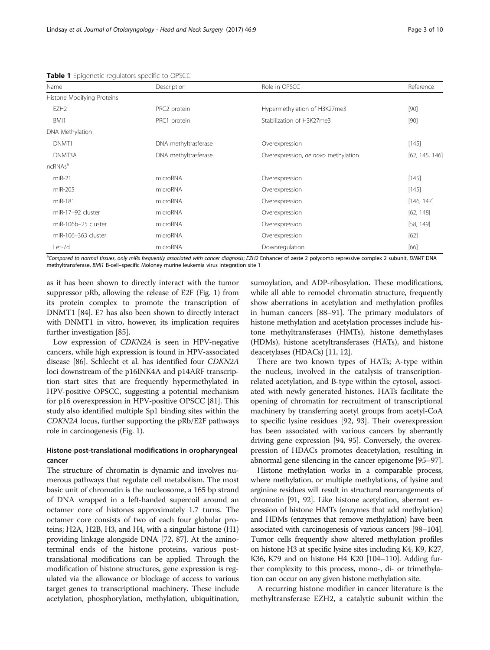| Name                       | Description          | Role in OPSCC                       | Reference      |
|----------------------------|----------------------|-------------------------------------|----------------|
| Histone Modifying Proteins |                      |                                     |                |
| EZH <sub>2</sub>           | PRC2 protein         | Hypermethylation of H3K27me3        | $[90]$         |
| BMI1                       | PRC1 protein         | Stabilization of H3K27me3           | $[90]$         |
| DNA Methylation            |                      |                                     |                |
| DNMT <sub>1</sub>          | DNA methyltrasferase | Overexpression                      | [145]          |
| DNMT3A                     | DNA methyltrasferase | Overexpression, de novo methylation | [62, 145, 146] |
| ncRNAs <sup>a</sup>        |                      |                                     |                |
| $miR-21$                   | microRNA             | Overexpression                      | [145]          |
| miR-205                    | microRNA             | Overexpression                      | $[145]$        |
| miR-181                    | microRNA             | Overexpression                      | [146, 147]     |
| miR-17-92 cluster          | microRNA             | Overexpression                      | [62, 148]      |
| miR-106b-25 cluster        | microRNA             | Overexpression                      | [58, 149]      |
| miR-106-363 cluster        | microRNA             | Overexpression                      | $[62]$         |
| Let-7d                     | microRNA             | Downregulation                      | [66]           |

<span id="page-2-0"></span>Table 1 Epigenetic regulators specific to OPSCC

<sup>a</sup>Compared to normal tissues, only miRs frequently associated with cancer diagnosis; EZH2 Enhancer of zeste 2 polycomb repressive complex 2 subunit, DNMT DNA methyltransferase, BMI1 B-cell–specific Moloney murine leukemia virus integration site 1

as it has been shown to directly interact with the tumor suppressor pRb, allowing the release of E2F (Fig. [1](#page-3-0)) from its protein complex to promote the transcription of DNMT1 [[84](#page-8-0)]. E7 has also been shown to directly interact with DNMT1 in vitro, however, its implication requires further investigation [\[85](#page-8-0)].

Low expression of CDKN2A is seen in HPV-negative cancers, while high expression is found in HPV-associated disease [[86](#page-8-0)]. Schlecht et al. has identified four CDKN2A loci downstream of the p16INK4A and p14ARF transcription start sites that are frequently hypermethylated in HPV-positive OPSCC, suggesting a potential mechanism for p16 overexpression in HPV-positive OPSCC [\[81\]](#page-7-0). This study also identified multiple Sp1 binding sites within the CDKN2A locus, further supporting the pRb/E2F pathways role in carcinogenesis (Fig. [1](#page-3-0)).

# Histone post-translational modifications in oropharyngeal cancer

The structure of chromatin is dynamic and involves numerous pathways that regulate cell metabolism. The most basic unit of chromatin is the nucleosome, a 165 bp strand of DNA wrapped in a left-handed supercoil around an octamer core of histones approximately 1.7 turns. The octamer core consists of two of each four globular proteins; H2A, H2B, H3, and H4, with a singular histone (H1) providing linkage alongside DNA [[72](#page-7-0), [87\]](#page-8-0). At the aminoterminal ends of the histone proteins, various posttranslational modifications can be applied. Through the modification of histone structures, gene expression is regulated via the allowance or blockage of access to various target genes to transcriptional machinery. These include acetylation, phosphorylation, methylation, ubiquitination,

sumoylation, and ADP-ribosylation. These modifications, while all able to remodel chromatin structure, frequently show aberrations in acetylation and methylation profiles in human cancers [\[88](#page-8-0)–[91](#page-8-0)]. The primary modulators of histone methylation and acetylation processes include histone methyltransferases (HMTs), histone demethylases (HDMs), histone acetyltransferases (HATs), and histone deacetylases (HDACs) [\[11, 12\]](#page-6-0).

There are two known types of HATs; A-type within the nucleus, involved in the catalysis of transcriptionrelated acetylation, and B-type within the cytosol, associated with newly generated histones. HATs facilitate the opening of chromatin for recruitment of transcriptional machinery by transferring acetyl groups from acetyl-CoA to specific lysine residues [[92](#page-8-0), [93](#page-8-0)]. Their overexpression has been associated with various cancers by aberrantly driving gene expression [\[94, 95](#page-8-0)]. Conversely, the overexpression of HDACs promotes deacetylation, resulting in abnormal gene silencing in the cancer epigenome [\[95](#page-8-0)–[97](#page-8-0)].

Histone methylation works in a comparable process, where methylation, or multiple methylations, of lysine and arginine residues will result in structural rearrangements of chromatin [[91, 92\]](#page-8-0). Like histone acetylation, aberrant expression of histone HMTs (enzymes that add methylation) and HDMs (enzymes that remove methylation) have been associated with carcinogenesis of various cancers [\[98](#page-8-0)–[104](#page-8-0)]. Tumor cells frequently show altered methylation profiles on histone H3 at specific lysine sites including K4, K9, K27, K36, K79 and on histone H4 K20 [\[104](#page-8-0)–[110](#page-8-0)]. Adding further complexity to this process, mono-, di- or trimethylation can occur on any given histone methylation site.

A recurring histone modifier in cancer literature is the methyltransferase EZH2, a catalytic subunit within the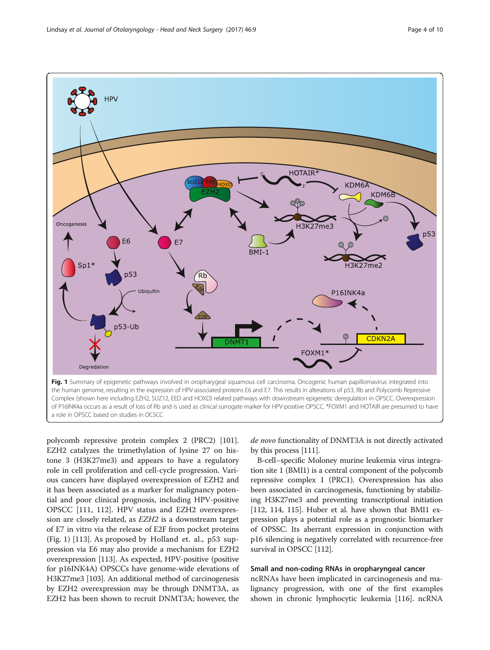<span id="page-3-0"></span>

a role in OPSCC based on studies in OCSCC

polycomb repressive protein complex 2 (PRC2) [\[101](#page-8-0)]. EZH2 catalyzes the trimethylation of lysine 27 on histone 3 (H3K27me3) and appears to have a regulatory role in cell proliferation and cell-cycle progression. Various cancers have displayed overexpression of EZH2 and it has been associated as a marker for malignancy potential and poor clinical prognosis, including HPV-positive OPSCC [\[111, 112](#page-8-0)]. HPV status and EZH2 overexpression are closely related, as EZH2 is a downstream target of E7 in vitro via the release of E2F from pocket proteins (Fig. 1) [\[113](#page-8-0)]. As proposed by Holland et. al., p53 suppression via E6 may also provide a mechanism for EZH2 overexpression [[113](#page-8-0)]. As expected, HPV-positive (positive for p16INK4A) OPSCCs have genome-wide elevations of H3K27me3 [\[103\]](#page-8-0). An additional method of carcinogenesis by EZH2 overexpression may be through DNMT3A, as EZH2 has been shown to recruit DNMT3A; however, the

de novo functionality of DNMT3A is not directly activated by this process [\[111\]](#page-8-0).

B-cell–specific Moloney murine leukemia virus integration site 1 (BMI1) is a central component of the polycomb repressive complex 1 (PRC1). Overexpression has also been associated in carcinogenesis, functioning by stabilizing H3K27me3 and preventing transcriptional initiation [[112](#page-8-0), [114, 115\]](#page-8-0). Huber et al. have shown that BMI1 expression plays a potential role as a prognostic biomarker of OPSSC. Its aberrant expression in conjunction with p16 silencing is negatively correlated with recurrence-free survival in OPSCC [\[112\]](#page-8-0).

### Small and non-coding RNAs in oropharyngeal cancer

ncRNAs have been implicated in carcinogenesis and malignancy progression, with one of the first examples shown in chronic lymphocytic leukemia [\[116](#page-8-0)]. ncRNA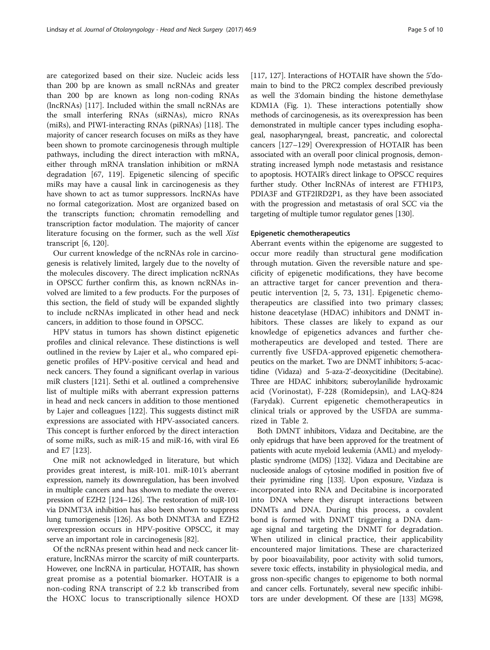are categorized based on their size. Nucleic acids less than 200 bp are known as small ncRNAs and greater than 200 bp are known as long non-coding RNAs (lncRNAs) [\[117](#page-8-0)]. Included within the small ncRNAs are the small interfering RNAs (siRNAs), micro RNAs (miRs), and PIWI-interacting RNAs (piRNAs) [\[118](#page-8-0)]. The majority of cancer research focuses on miRs as they have been shown to promote carcinogenesis through multiple pathways, including the direct interaction with mRNA, either through mRNA translation inhibition or mRNA degradation [[67,](#page-7-0) [119](#page-8-0)]. Epigenetic silencing of specific miRs may have a causal link in carcinogenesis as they have shown to act as tumor suppressors. lncRNAs have no formal categorization. Most are organized based on the transcripts function; chromatin remodelling and transcription factor modulation. The majority of cancer literature focusing on the former, such as the well Xist transcript [\[6](#page-6-0), [120\]](#page-8-0).

Our current knowledge of the ncRNAs role in carcinogenesis is relatively limited, largely due to the novelty of the molecules discovery. The direct implication ncRNAs in OPSCC further confirm this, as known ncRNAs involved are limited to a few products. For the purposes of this section, the field of study will be expanded slightly to include ncRNAs implicated in other head and neck cancers, in addition to those found in OPSCC.

HPV status in tumors has shown distinct epigenetic profiles and clinical relevance. These distinctions is well outlined in the review by Lajer et al., who compared epigenetic profiles of HPV-positive cervical and head and neck cancers. They found a significant overlap in various miR clusters [\[121\]](#page-8-0). Sethi et al. outlined a comprehensive list of multiple miRs with aberrant expression patterns in head and neck cancers in addition to those mentioned by Lajer and colleagues [\[122\]](#page-8-0). This suggests distinct miR expressions are associated with HPV-associated cancers. This concept is further enforced by the direct interaction of some miRs, such as miR-15 and miR-16, with viral E6 and E7 [\[123\]](#page-8-0).

One miR not acknowledged in literature, but which provides great interest, is miR-101. miR-101's aberrant expression, namely its downregulation, has been involved in multiple cancers and has shown to mediate the overexpression of EZH2 [\[124](#page-8-0)–[126\]](#page-8-0). The restoration of miR-101 via DNMT3A inhibition has also been shown to suppress lung tumorigenesis [\[126\]](#page-8-0). As both DNMT3A and EZH2 overexpression occurs in HPV-positive OPSCC, it may serve an important role in carcinogenesis [[82\]](#page-7-0).

Of the ncRNAs present within head and neck cancer literature, lncRNAs mirror the scarcity of miR counterparts. However, one lncRNA in particular, HOTAIR, has shown great promise as a potential biomarker. HOTAIR is a non-coding RNA transcript of 2.2 kb transcribed from the HOXC locus to transcriptionally silence HOXD

[[117](#page-8-0), [127\]](#page-8-0). Interactions of HOTAIR have shown the 5'domain to bind to the PRC2 complex described previously as well the 3'domain binding the histone demethylase KDM1A (Fig. [1](#page-3-0)). These interactions potentially show methods of carcinogenesis, as its overexpression has been demonstrated in multiple cancer types including esophageal, nasopharyngeal, breast, pancreatic, and colorectal cancers [[127](#page-8-0)–[129](#page-8-0)] Overexpression of HOTAIR has been associated with an overall poor clinical prognosis, demonstrating increased lymph node metastasis and resistance to apoptosis. HOTAIR's direct linkage to OPSCC requires further study. Other lncRNAs of interest are FTH1P3, PDIA3F and GTF2IRD2P1, as they have been associated with the progression and metastasis of oral SCC via the targeting of multiple tumor regulator genes [[130](#page-8-0)].

### Epigenetic chemotherapeutics

Aberrant events within the epigenome are suggested to occur more readily than structural gene modification through mutation. Given the reversible nature and specificity of epigenetic modifications, they have become an attractive target for cancer prevention and therapeutic intervention [[2, 5,](#page-6-0) [73](#page-7-0), [131](#page-8-0)]. Epigenetic chemotherapeutics are classified into two primary classes; histone deacetylase (HDAC) inhibitors and DNMT inhibitors. These classes are likely to expand as our knowledge of epigenetics advances and further chemotherapeutics are developed and tested. There are currently five USFDA-approved epigenetic chemotherapeutics on the market. Two are DNMT inhibitors; 5-acactidine (Vidaza) and 5-aza-2'-deoxycitidine (Decitabine). Three are HDAC inhibitors; suberoylanilide hydroxamic acid (Vorinostat), F-228 (Romidepsin), and LAQ-824 (Farydak). Current epigenetic chemotherapeutics in clinical trials or approved by the USFDA are summarized in Table [2.](#page-5-0)

Both DMNT inhibitors, Vidaza and Decitabine, are the only epidrugs that have been approved for the treatment of patients with acute myeloid leukemia (AML) and myelodyplastic syndrome (MDS) [\[132](#page-8-0)]. Vidaza and Decitabine are nucleoside analogs of cytosine modified in position five of their pyrimidine ring [\[133](#page-9-0)]. Upon exposure, Vizdaza is incorporated into RNA and Decitabine is incorporated into DNA where they disrupt interactions between DNMTs and DNA. During this process, a covalent bond is formed with DNMT triggering a DNA damage signal and targeting the DNMT for degradation. When utilized in clinical practice, their applicability encountered major limitations. These are characterized by poor bioavailability, poor activity with solid tumors, severe toxic effects, instability in physiological media, and gross non-specific changes to epigenome to both normal and cancer cells. Fortunately, several new specific inhibitors are under development. Of these are [\[133\]](#page-9-0) MG98,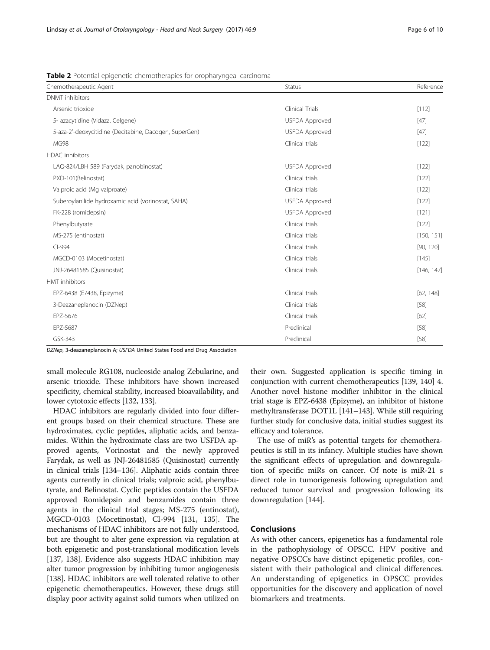<span id="page-5-0"></span>Table 2 Potential epigenetic chemotherapies for oropharyngeal carcinoma

| Chemotherapeutic Agent                                 | Status                | Reference  |
|--------------------------------------------------------|-----------------------|------------|
| <b>DNMT</b> inhibitors                                 |                       |            |
| Arsenic trioxide                                       | Clinical Trials       | [112]      |
| 5- azacytidine (Vidaza, Celgene)                       | <b>USFDA Approved</b> | $[47]$     |
| 5-aza-2'-deoxycitidine (Decitabine, Dacogen, SuperGen) | <b>USFDA Approved</b> | $[47]$     |
| <b>MG98</b>                                            | Clinical trials       | $[122]$    |
| <b>HDAC</b> inhibitors                                 |                       |            |
| LAQ-824/LBH 589 (Farydak, panobinostat)                | <b>USFDA Approved</b> | [122]      |
| PXD-101(Belinostat)                                    | Clinical trials       | $[122]$    |
| Valproic acid (Mg valproate)                           | Clinical trials       | [122]      |
| Suberoylanilide hydroxamic acid (vorinostat, SAHA)     | <b>USFDA Approved</b> | $[122]$    |
| FK-228 (romidepsin)                                    | <b>USFDA Approved</b> | [121]      |
| Phenylbutyrate                                         | Clinical trials       | $[122]$    |
| MS-275 (entinostat)                                    | Clinical trials       | [150, 151] |
| $Cl-994$                                               | Clinical trials       | [90, 120]  |
| MGCD-0103 (Mocetinostat)                               | Clinical trials       | $[145]$    |
| JNJ-26481585 (Quisinostat)                             | Clinical trials       | [146, 147] |
| <b>HMT</b> inhibitors                                  |                       |            |
| EPZ-6438 (E7438, Epizyme)                              | Clinical trials       | [62, 148]  |
| 3-Deazaneplanocin (DZNep)                              | Clinical trials       | $[58]$     |
| EPZ-5676                                               | Clinical trials       | [62]       |
| EPZ-5687                                               | Preclinical           | $[58]$     |
| GSK-343                                                | Preclinical           | $[58]$     |

DZNep, 3-deazaneplanocin A; USFDA United States Food and Drug Association

small molecule RG108, nucleoside analog Zebularine, and arsenic trioxide. These inhibitors have shown increased specificity, chemical stability, increased bioavailability, and lower cytotoxic effects [[132](#page-8-0), [133](#page-9-0)].

HDAC inhibitors are regularly divided into four different groups based on their chemical structure. These are hydroximates, cyclic peptides, aliphatic acids, and benzamides. Within the hydroximate class are two USFDA approved agents, Vorinostat and the newly approved Farydak, as well as JNJ-26481585 (Quisinostat) currently in clinical trials [[134](#page-9-0)–[136](#page-9-0)]. Aliphatic acids contain three agents currently in clinical trials; valproic acid, phenylbutyrate, and Belinostat. Cyclic peptides contain the USFDA approved Romidepsin and benzamides contain three agents in the clinical trial stages; MS-275 (entinostat), MGCD-0103 (Mocetinostat), CI-994 [[131](#page-8-0), [135](#page-9-0)]. The mechanisms of HDAC inhibitors are not fully understood, but are thought to alter gene expression via regulation at both epigenetic and post-translational modification levels [[137](#page-9-0), [138\]](#page-9-0). Evidence also suggests HDAC inhibition may alter tumor progression by inhibiting tumor angiogenesis [[138](#page-9-0)]. HDAC inhibitors are well tolerated relative to other epigenetic chemotherapeutics. However, these drugs still display poor activity against solid tumors when utilized on

their own. Suggested application is specific timing in conjunction with current chemotherapeutics [\[139, 140](#page-9-0)] 4. Another novel histone modifier inhibitor in the clinical trial stage is EPZ-6438 (Epizyme), an inhibitor of histone methyltransferase DOT1L [\[141](#page-9-0)–[143](#page-9-0)]. While still requiring further study for conclusive data, initial studies suggest its efficacy and tolerance.

The use of miR's as potential targets for chemotherapeutics is still in its infancy. Multiple studies have shown the significant effects of upregulation and downregulation of specific miRs on cancer. Of note is miR-21 s direct role in tumorigenesis following upregulation and reduced tumor survival and progression following its downregulation [[144](#page-9-0)].

# Conclusions

As with other cancers, epigenetics has a fundamental role in the pathophysiology of OPSCC. HPV positive and negative OPSCCs have distinct epigenetic profiles, consistent with their pathological and clinical differences. An understanding of epigenetics in OPSCC provides opportunities for the discovery and application of novel biomarkers and treatments.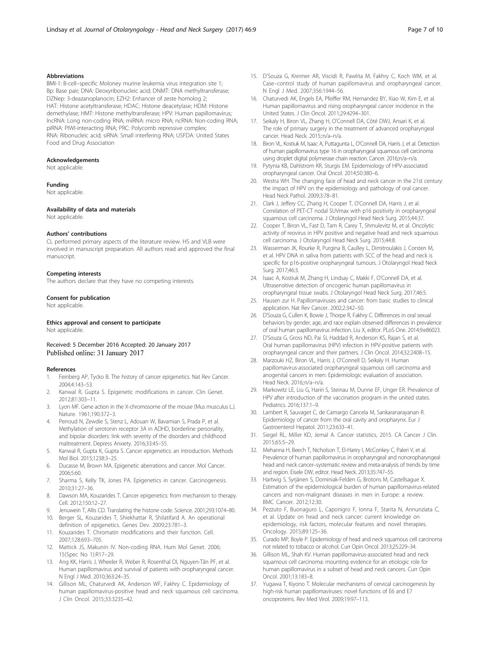#### <span id="page-6-0"></span>Abbreviations

BMI-1: B-cell–specific Moloney murine leukemia virus integration site 1; Bp: Base pair; DNA: Deoxyribonucleic acid; DNMT: DNA methyltransferase; DZNep: 3-deazanoplanocin; EZH2: Enhancer of zeste homolog 2; HAT: Histone acetyltransferase; HDAC: Histone deacetylase; HDM: Histone demethylase; HMT: Histone methyltransferase; HPV: Human papillomavirus; lncRNA: Long non-coding RNA; miRNA: micro RNA; ncRNA: Non-coding RNA; piRNA: PIWI-interacting RNA; PRC: Polycomb repressive complex; RNA: Ribonucleic acid; siRNA: Small interfering RNA; USFDA: United States Food and Drug Association

#### Acknowledgements

Not applicable.

#### Funding

Not applicable.

#### Availability of data and materials

Not applicable.

#### Authors' contributions

CL performed primary aspects of the literature review. HS and VLB were involved in manuscript preparation. All authors read and approved the final manuscript.

#### Competing interests

The authors declare that they have no competing interests.

#### Consent for publication

Not applicable.

# Ethics approval and consent to participate

Not applicable.

Received: 5 December 2016 Accepted: 20 January 2017 Published online: 31 January 2017

#### References

- 1. Feinberg AP, Tycko B. The history of cancer epigenetics. Nat Rev Cancer. 2004;4:143–53.
- 2. Kanwal R, Gupta S. Epigenetic modifications in cancer. Clin Genet. 2012;81:303–11.
- 3. Lyon MF. Gene action in the X-chromosome of the mouse (Mus musculus L.). Nature. 1961;190:372–3.
- 4. Perroud N, Zewdie S, Stenz L, Adouan W, Bavamian S, Prada P, et al. Methylation of serotonin receptor 3A in ADHD, borderline personality, and bipolar disorders: link with severity of the disorders and childhood maltreatment. Depress Anxiety. 2016;33:45–55.
- 5. Kanwal R, Gupta K, Gupta S. Cancer epigenetics: an introduction. Methods Mol Biol. 2015;1238:3–25.
- 6. Ducasse M, Brown MA. Epigenetic aberrations and cancer. Mol Cancer. 2006;5:60.
- 7. Sharma S, Kelly TK, Jones PA. Epigenetics in cancer. Carcinogenesis. 2010;31:27–36.
- 8. Dawson MA, Kouzarides T. Cancer epigenetics: from mechanism to therapy. Cell. 2012;150:12–27.
- 9. Jenuwein T, Allis CD. Translating the histone code. Science. 2001;293:1074–80.
- 10. Berger SL, Kouzarides T, Shiekhattar R, Shilatifard A. An operational definition of epigenetics. Genes Dev. 2009;23:781–3.
- 11. Kouzarides T. Chromatin modifications and their function. Cell. 2007;128:693–705.
- 12. Mattick JS, Makunin IV. Non-coding RNA. Hum Mol Genet. 2006; 15(Spec No 1):R17–29.
- 13. Ang KK, Harris J, Wheeler R, Weber R, Rosenthal DI, Nguyen-Tân PF, et al. Human papillomavirus and survival of patients with oropharyngeal cancer. N Engl J Med. 2010;363:24–35.
- 14. Gillison ML, Chaturvedi AK, Anderson WF, Fakhry C. Epidemiology of human papillomavirus-positive head and neck squamous cell carcinoma. J Clin Oncol. 2015;33:3235–42.
- 15. D'Souza G, Kreimer AR, Viscidi R, Pawlita M, Fakhry C, Koch WM, et al. Case–control study of human papillomavirus and oropharyngeal cancer. N Engl J Med. 2007;356:1944–56.
- 16. Chaturvedi AK, Engels EA, Pfeiffer RM, Hernandez BY, Xiao W, Kim E, et al. Human papillomavirus and rising oropharyngeal cancer incidence in the United States. J Clin Oncol. 2011;29:4294–301.
- 17. Seikaly H, Biron VL, Zhang H, O'Connell DA, Côté DWJ, Ansari K, et al. The role of primary surgery in the treatment of advanced oropharyngeal cancer. Head Neck. 2015;:n/a–n/a.
- 18. Biron VL, Kostiuk M, Isaac A, Puttagunta L, O'Connell DA, Harris J, et al. Detection of human papillomavirus type 16 in oropharyngeal squamous cell carcinoma using droplet digital polymerase chain reaction. Cancer. 2016;n/a-n/a.
- 19. Pytynia KB, Dahlstrom KR, Sturgis EM. Epidemiology of HPV-associated oropharyngeal cancer. Oral Oncol. 2014;50:380–6.
- 20. Westra WH. The changing face of head and neck cancer in the 21st century: the impact of HPV on the epidemiology and pathology of oral cancer. Head Neck Pathol. 2009;3:78–81.
- 21. Clark J, Jeffery CC, Zhang H, Cooper T, O'Connell DA, Harris J, et al. Correlation of PET-CT nodal SUVmax with p16 positivity in oropharyngeal squamous cell carcinoma. J Otolaryngol Head Neck Surg. 2015;44:37.
- 22. Cooper T, Biron VL, Fast D, Tam R, Carey T, Shmulevitz M, et al. Oncolytic activity of reovirus in HPV positive and negative head and neck squamous cell carcinoma. J Otolaryngol Head Neck Surg. 2015;44:8.
- 23. Wasserman JK, Rourke R, Purgina B, Caulley L, Dimitroulakis J, Corsten M, et al. HPV DNA in saliva from patients with SCC of the head and neck is specific for p16-positive oropharyngeal tumours. J Otolaryngol Head Neck Surg. 2017;46:3.
- 24. Isaac A, Kostiuk M, Zhang H, Lindsay C, Makki F, O'Connell DA, et al. Ultrasensitive detection of oncogenic human papillomavirus in oropharyngeal tissue swabs. J Otolaryngol Head Neck Surg. 2017;46:5.
- 25. Hausen zur H. Papillomaviruses and cancer: from basic studies to clinical application. Nat Rev Cancer. 2002;2:342–50.
- 26. D'Souza G, Cullen K, Bowie J, Thorpe R, Fakhry C. Differences in oral sexual behaviors by gender, age, and race explain observed differences in prevalence of oral human papillomavirus infection. Liu X, editor. PLoS One. 2014;9:e86023.
- 27. D'Souza G, Gross ND, Pai SI, Haddad R, Anderson KS, Rajan S, et al. Oral human papillomavirus (HPV) infection in HPV-positive patients with oropharyngeal cancer and their partners. J Clin Oncol. 2014;32:2408–15.
- 28. Marzouki HZ, Biron VL, Harris J, O'Connell D, Seikaly H. Human papillomavirus-associated oropharyngeal squamous cell carcinoma and anogenital cancers in men: Epidemiologic evaluation of association. Head Neck. 2016;:n/a–n/a.
- 29. Markowitz LE, Liu G, Hariri S, Steinau M, Dunne EF, Unger ER. Prevalence of HPV after introduction of the vaccination program in the united states. Pediatrics. 2016;137:1–9.
- 30. Lambert R, Sauvaget C, de Camargo Cancela M, Sankaranarayanan R. Epidemiology of cancer from the oral cavity and oropharynx. Eur J Gastroenterol Hepatol. 2011;23:633–41.
- 31. Siegel RL, Miller KD, Jemal A. Cancer statistics, 2015. CA Cancer J Clin. 2015;65:5–29.
- 32. Mehanna H, Beech T, Nicholson T, El-Hariry I, McConkey C, Paleri V, et al. Prevalence of human papillomavirus in oropharyngeal and nonoropharyngeal head and neck cancer–systematic review and meta-analysis of trends by time and region. Eisele DW, editor. Head Neck. 2013;35:747–55.
- 33. Hartwig S, Syrjänen S, Dominiak-Felden G, Brotons M, Castellsague X. Estimation of the epidemiological burden of human papillomavirus-related cancers and non-malignant diseases in men in Europe: a review. BMC Cancer. 2012;12:30.
- 34. Pezzuto F, Buonaguro L, Caponigro F, Ionna F, Starita N, Annunziata C, et al. Update on head and neck cancer: current knowledge on epidemiology, risk factors, molecular features and novel therapies. Oncology. 2015;89:125–36.
- 35. Curado MP, Boyle P. Epidemiology of head and neck squamous cell carcinoma not related to tobacco or alcohol. Curr Opin Oncol. 2013;25:229–34.
- 36. Gillison ML, Shah KV. Human papillomavirus-associated head and neck squamous cell carcinoma: mounting evidence for an etiologic role for human papillomavirus in a subset of head and neck cancers. Curr Opin Oncol. 2001;13:183–8.
- 37. Yugawa T, Kiyono T. Molecular mechanisms of cervical carcinogenesis by high-risk human papillomaviruses: novel functions of E6 and E7 oncoproteins. Rev Med Virol. 2009;19:97–113.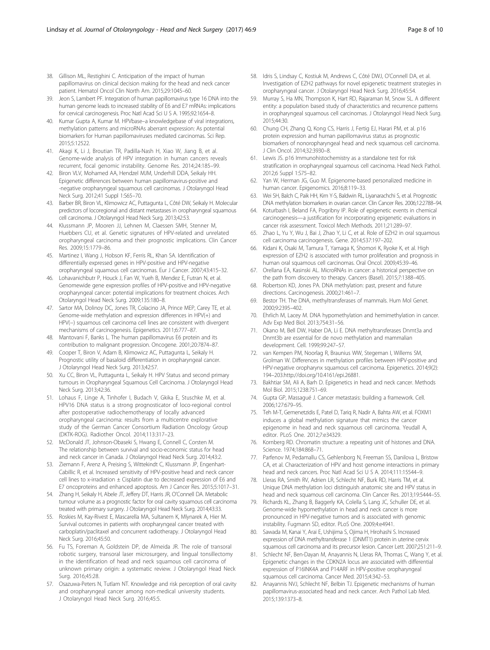- <span id="page-7-0"></span>38. Gillison ML, Restighini C. Anticipation of the impact of human papillomavirus on clinical decision making for the head and neck cancer patient. Hematol Oncol Clin North Am. 2015;29:1045–60.
- 39. Jeon S, Lambert PF. Integration of human papillomavirus type 16 DNA into the human genome leads to increased stability of E6 and E7 mRNAs: implications for cervical carcinogenesis. Proc Natl Acad Sci U S A. 1995;92:1654–8.
- 40. Kumar Gupta A, Kumar M. HPVbase–a knowledgebase of viral integrations, methylation patterns and microRNAs aberrant expression: As potential biomarkers for Human papillomaviruses mediated carcinomas. Sci Rep. 2015;5:12522.
- 41. Akagi K, Li J, Broutian TR, Padilla-Nash H, Xiao W, Jiang B, et al. Genome-wide analysis of HPV integration in human cancers reveals recurrent, focal genomic instability. Genome Res. 2014;24:185–99.
- 42. Biron VLV, Mohamed AA, Hendzel MJM, Underhill DDA, Seikaly HH. Epigenetic differences between human papillomavirus-positive and -negative oropharyngeal squamous cell carcinomas. J Otolaryngol Head Neck Surg. 2012;41 Suppl 1:S65–70.
- 43. Barber BR, Biron VL, Klimowicz AC, Puttagunta L, Côté DW, Seikaly H. Molecular predictors of locoregional and distant metastases in oropharyngeal squamous cell carcinoma. J Otolaryngol Head Neck Surg. 2013;42:53.
- 44. Klussmann JP, Mooren JJ, Lehnen M, Claessen SMH, Stenner M, Huebbers CU, et al. Genetic signatures of HPV-related and unrelated oropharyngeal carcinoma and their prognostic implications. Clin Cancer Res. 2009;15:1779–86.
- 45. Martinez I, Wang J, Hobson KF, Ferris RL, Khan SA. Identification of differentially expressed genes in HPV-positive and HPV-negative oropharyngeal squamous cell carcinomas. Eur J Cancer. 2007;43:415–32.
- 46. Lohavanichbutr P, Houck J, Fan W, Yueh B, Mendez E, Futran N, et al. Genomewide gene expression profiles of HPV-positive and HPV-negative oropharyngeal cancer: potential implications for treatment choices. Arch Otolaryngol Head Neck Surg. 2009;135:180–8.
- 47. Sartor MA, Dolinoy DC, Jones TR, Colacino JA, Prince MEP, Carey TE, et al. Genome-wide methylation and expression differences in HPV(+) and HPV(-) squamous cell carcinoma cell lines are consistent with divergent mechanisms of carcinogenesis. Epigenetics. 2011;6:777–87.
- 48. Mantovani F, Banks L. The human papillomavirus E6 protein and its contribution to malignant progression. Oncogene. 2001;20:7874–87.
- 49. Cooper T, Biron V, Adam B, Klimowicz AC, Puttagunta L, Seikaly H. Prognostic utility of basaloid differentiation in oropharyngeal cancer. J Otolaryngol Head Neck Surg. 2013;42:57.
- 50. Xu CC, Biron VL, Puttagunta L, Seikaly H. HPV Status and second primary tumours in Oropharyngeal Squamous Cell Carcinoma. J Otolaryngol Head Neck Surg. 2013;42:36.
- 51. Lohaus F, Linge A, Tinhofer I, Budach V, Gkika E, Stuschke M, et al. HPV16 DNA status is a strong prognosticator of loco-regional control after postoperative radiochemotherapy of locally advanced oropharyngeal carcinoma: results from a multicentre explorative study of the German Cancer Consortium Radiation Oncology Group (DKTK-ROG). Radiother Oncol. 2014;113:317–23.
- 52. McDonald JT, Johnson-Obaseki S, Hwang E, Connell C, Corsten M. The relationship between survival and socio-economic status for head and neck cancer in Canada. J Otolaryngol Head Neck Surg. 2014;43:2.
- 53. Ziemann F, Arenz A, Preising S, Wittekindt C, Klussmann JP, Engenhart-Cabillic R, et al. Increased sensitivity of HPV-positive head and neck cancer cell lines to x-irradiation ± Cisplatin due to decreased expression of E6 and E7 oncoproteins and enhanced apoptosis. Am J Cancer Res. 2015;5:1017–31.
- 54. Zhang H, Seikaly H, Abele JT, Jeffery DT, Harris JR, O'Connell DA. Metabolic tumour volume as a prognostic factor for oral cavity squamous cell carcinoma treated with primary surgery. J Otolaryngol Head Neck Surg. 2014;43:33.
- 55. Roskies M, Kay-Rivest E, Mascarella MA, Sultanem K, Mlynarek A, Hier M. Survival outcomes in patients with oropharyngeal cancer treated with carboplatin/paclitaxel and concurrent radiotherapy. J Otolaryngol Head Neck Surg. 2016;45:50.
- 56. Fu TS, Foreman A, Goldstein DP, de Almeida JR. The role of transoral robotic surgery, transoral laser microsurgery, and lingual tonsillectomy in the identification of head and neck squamous cell carcinoma of unknown primary origin: a systematic review. J Otolaryngol Head Neck Surg. 2016;45:28.
- 57. Osazuwa-Peters N, Tutlam NT. Knowledge and risk perception of oral cavity and oropharyngeal cancer among non-medical university students. J Otolaryngol Head Neck Surg. 2016;45:5.
- 58. Idris S, Lindsay C, Kostiuk M, Andrews C, Côté DWJ, O'Connell DA, et al. Investigation of EZH2 pathways for novel epigenetic treatment strategies in oropharyngeal cancer. J Otolaryngol Head Neck Surg. 2016;45:54.
- 59. Murray S, Ha MN, Thompson K, Hart RD, Rajaraman M, Snow SL. A different entity: a population based study of characteristics and recurrence patterns in oropharyngeal squamous cell carcinomas. J Otolaryngol Head Neck Surg. 2015;44:30.
- 60. Chung CH, Zhang Q, Kong CS, Harris J, Fertig EJ, Harari PM, et al. p16 protein expression and human papillomavirus status as prognostic biomarkers of nonoropharyngeal head and neck squamous cell carcinoma. J Clin Oncol. 2014;32:3930–8.
- 61. Lewis JS. p16 Immunohistochemistry as a standalone test for risk stratification in oropharyngeal squamous cell carcinoma. Head Neck Pathol. 2012;6 Suppl 1:S75–82.
- 62. Yan W, Herman JG, Guo M. Epigenome-based personalized medicine in human cancer. Epigenomics. 2016;8:119–33.
- 63. Wei SH, Balch C, Paik HH, Kim Y-S, Baldwin RL, Liyanarachchi S, et al. Prognostic DNA methylation biomarkers in ovarian cancer. Clin Cancer Res. 2006;12:2788–94.
- 64. Koturbash I, Beland FA, Pogribny IP. Role of epigenetic events in chemical carcinogenesis—a justification for incorporating epigenetic evaluations in cancer risk assessment. Toxicol Mech Methods. 2011;21:289–97.
- 65. Zhao L, Yu Y, Wu J, Bai J, Zhao Y, Li C, et al. Role of EZH2 in oral squamous cell carcinoma carcinogenesis. Gene. 2014;537:197–202.
- 66. Kidani K, Osaki M, Tamura T, Yamaga K, Shomori K, Ryoke K, et al. High expression of EZH2 is associated with tumor proliferation and prognosis in human oral squamous cell carcinomas. Oral Oncol. 2009;45:39–46.
- 67. Orellana EA, Kasinski AL. MicroRNAs in cancer: a historical perspective on the path from discovery to therapy. Cancers (Basel). 2015;7:1388–405.
- 68. Robertson KD, Jones PA. DNA methylation: past, present and future directions. Carcinogenesis. 2000;21:461–7.
- 69. Bestor TH. The DNA, methyltransferases of mammals. Hum Mol Genet. 2000;9:2395–402.
- 70. Ehrlich M, Lacey M. DNA hypomethylation and hemimethylation in cancer. Adv Exp Med Biol. 2013;754:31–56.
- 71. Okano M, Bell DW, Haber DA, Li E. DNA methyltransferases Dnmt3a and Dnmt3b are essential for de novo methylation and mammalian development. Cell. 1999;99:247–57.
- 72. van Kempen PM, Noorlag R, Braunius WW, Stegeman I, Willems SM, Grolman W. Differences in methylation profiles between HPV-positive and HPV-negative oropharynx squamous cell carcinoma. Epigenetics. 2014;9(2): 194–203.[http://doi.org/10.4161/epi.26881.](http://doi.org/10.4161/epi.26881)
- 73. Bakhtiar SM, Ali A, Barh D. Epigenetics in head and neck cancer. Methods Mol Biol. 2015;1238:751–69.
- 74. Gupta GP, Massagué J. Cancer metastasis: building a framework. Cell. 2006;127:679–95.
- 75. Teh M-T, Gemenetzidis E, Patel D, Tariq R, Nadir A, Bahta AW, et al. FOXM1 induces a global methylation signature that mimics the cancer epigenome in head and neck squamous cell carcinoma. Yeudall A, editor. PLoS One. 2012;7:e34329.
- 76. Kornberg RD. Chromatin structure: a repeating unit of histones and DNA. Science. 1974;184:868–71.
- 77. Parfenov M, Pedamallu CS, Gehlenborg N, Freeman SS, Danilova L, Bristow CA, et al. Characterization of HPV and host genome interactions in primary head and neck cancers. Proc Natl Acad Sci U S A. 2014;111:15544–9.
- 78. Lleras RA, Smith RV, Adrien LR, Schlecht NF, Burk RD, Harris TM, et al. Unique DNA methylation loci distinguish anatomic site and HPV status in head and neck squamous cell carcinoma. Clin Cancer Res. 2013;19:5444–55.
- 79. Richards KL, Zhang B, Baggerly KA, Colella S, Lang JC, Schuller DE, et al. Genome-wide hypomethylation in head and neck cancer is more pronounced in HPV-negative tumors and is associated with genomic instability. Fugmann SD, editor. PLoS One. 2009;4:e4941.
- 80. Sawada M, Kanai Y, Arai E, Ushijima S, Ojima H, Hirohashi S. Increased expression of DNA methyltransferase 1 (DNMT1) protein in uterine cervix squamous cell carcinoma and its precursor lesion. Cancer Lett. 2007;251:211–9.
- 81. Schlecht NF, Ben-Dayan M, Anayannis N, Lleras RA, Thomas C, Wang Y, et al. Epigenetic changes in the CDKN2A locus are associated with differential expression of P16INK4A and P14ARF in HPV-positive oropharyngeal squamous cell carcinoma. Cancer Med. 2015;4:342–53.
- 82. Anayannis NVJ, Schlecht NF, Belbin TJ. Epigenetic mechanisms of human papillomavirus-associated head and neck cancer. Arch Pathol Lab Med. 2015;139:1373–8.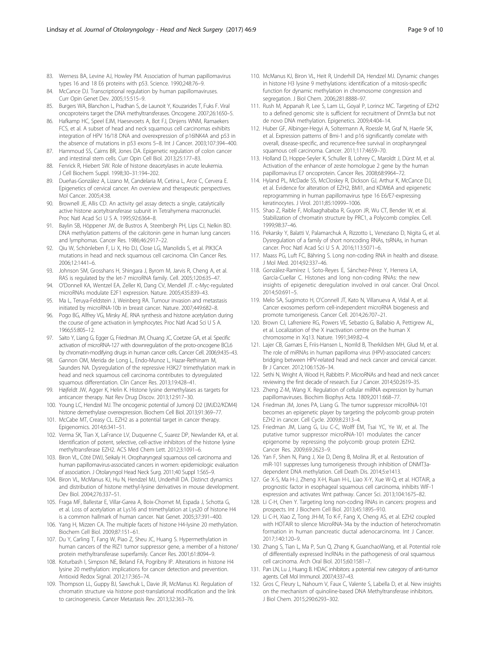- <span id="page-8-0"></span>83. Werness BA, Levine AJ, Howley PM. Association of human papillomavirus types 16 and 18 E6 proteins with p53. Science. 1990;248:76–9.
- 84. McCance DJ. Transcriptional regulation by human papillomaviruses. Curr Opin Genet Dev. 2005;15:515–9.
- 85. Burgers WA, Blanchon L, Pradhan S, de Launoit Y, Kouzarides T, Fuks F. Viral oncoproteins target the DNA methyltransferases. Oncogene. 2007;26:1650–5.
- 86. Hafkamp HC, Speel EJM, Haesevoets A, Bot FJ, Dinjens WNM, Ramaekers FCS, et al. A subset of head and neck squamous cell carcinomas exhibits integration of HPV 16/18 DNA and overexpression of p16INK4A and p53 in the absence of mutations in p53 exons 5–8. Int J Cancer. 2003;107:394–400.
- 87. Hammoud SS, Cairns BR, Jones DA. Epigenetic regulation of colon cancer and intestinal stem cells. Curr Opin Cell Biol. 2013;25:177–83.
- 88. Fenrick R, Hiebert SW. Role of histone deacetylases in acute leukemia. J Cell Biochem Suppl. 1998;30–31:194–202.
- 89. Dueñas-González A, Lizano M, Candelaria M, Cetina L, Arce C, Cervera E. Epigenetics of cervical cancer. An overview and therapeutic perspectives. Mol Cancer. 2005;4:38.
- 90. Brownell JE, Allis CD. An activity gel assay detects a single, catalytically active histone acetyltransferase subunit in Tetrahymena macronuclei. Proc Natl Acad Sci U S A. 1995;92:6364–8.
- 91. Baylin SB, Höppener JW, de Bustros A, Steenbergh PH, Lips CJ, Nelkin BD. DNA methylation patterns of the calcitonin gene in human lung cancers and lymphomas. Cancer Res. 1986;46:2917–22.
- 92. Qiu W, Schönleben F, Li X, Ho DJ, Close LG, Manolidis S, et al. PIK3CA mutations in head and neck squamous cell carcinoma. Clin Cancer Res. 2006;12:1441–6.
- 93. Johnson SM, Grosshans H, Shingara J, Byrom M, Jarvis R, Cheng A, et al. RAS is regulated by the let-7 microRNA family. Cell. 2005;120:635–47.
- 94. O'Donnell KA, Wentzel EA, Zeller KI, Dang CV, Mendell JT. c-Myc-regulated microRNAs modulate E2F1 expression. Nature. 2005;435:839–43.
- 95. Ma L, Teruya-Feldstein J, Weinberg RA. Tumour invasion and metastasis initiated by microRNA-10b in breast cancer. Nature. 2007;449:682–8.
- 96. Pogo BG, Allfrey VG, Mirsky AE. RNA synthesis and histone acetylation during the course of gene activation in lymphocytes. Proc Natl Acad Sci U S A. 1966;55:805–12.
- 97. Saito Y, Liang G, Egger G, Friedman JM, Chuang JC, Coetzee GA, et al. Specific activation of microRNA-127 with downregulation of the proto-oncogene BCL6 by chromatin-modifying drugs in human cancer cells. Cancer Cell. 2006;9:435–43.
- 98. Gannon OM, Merida de Long L, Endo-Munoz L, Hazar-Rethinam M, Saunders NA. Dysregulation of the repressive H3K27 trimethylation mark in head and neck squamous cell carcinoma contributes to dysregulated squamous differentiation. Clin Cancer Res. 2013;19:428–41.
- 99. Højfeldt JW, Agger K, Helin K. Histone lysine demethylases as targets for anticancer therapy. Nat Rev Drug Discov. 2013;12:917–30.
- 100. Young LC, Hendzel MJ. The oncogenic potential of Jumonji D2 (JMJD2/KDM4) histone demethylase overexpression. Biochem Cell Biol. 2013;91:369–77.
- 101. McCabe MT, Creasy CL. EZH2 as a potential target in cancer therapy. Epigenomics. 2014;6:341–51.
- 102. Verma SK, Tian X, LaFrance LV, Duquenne C, Suarez DP, Newlander KA, et al. Identification of potent, selective, cell-active inhibitors of the histone lysine methyltransferase EZH2. ACS Med Chem Lett. 2012;3:1091–6.
- 103. Biron VL, Côté DWJ, Seikaly H. Oropharyngeal squamous cell carcinoma and human papillomavirus-associated cancers in women: epidemiologic evaluation of association. J Otolaryngol Head Neck Surg. 2011;40 Suppl 1:S65–9.
- 104. Biron VL, McManus KJ, Hu N, Hendzel MJ, Underhill DA. Distinct dynamics and distribution of histone methyl-lysine derivatives in mouse development. Dev Biol. 2004;276:337–51.
- 105. Fraga MF, Ballestar E, Villar-Garea A, Boix-Chornet M, Espada J, Schotta G, et al. Loss of acetylation at Lys16 and trimethylation at Lys20 of histone H4 is a common hallmark of human cancer. Nat Genet. 2005;37:391–400.
- 106. Yang H, Mizzen CA. The multiple facets of histone H4-lysine 20 methylation. Biochem Cell Biol. 2009;87:151–61.
- 107. Du Y, Carling T, Fang W, Piao Z, Sheu JC, Huang S. Hypermethylation in human cancers of the RIZ1 tumor suppressor gene, a member of a histone/ protein methyltransferase superfamily. Cancer Res. 2001;61:8094–9.
- 108. Koturbash I, Simpson NE, Beland FA, Pogribny IP. Alterations in histone H4 lysine 20 methylation: implications for cancer detection and prevention. Antioxid Redox Signal. 2012;17:365–74.
- 109. Thompson LL, Guppy BJ, Sawchuk L, Davie JR, McManus KJ. Regulation of chromatin structure via histone post-translational modification and the link to carcinogenesis. Cancer Metastasis Rev. 2013;32:363–76.
- 110. McManus KJ, Biron VL, Heit R, Underhill DA, Hendzel MJ. Dynamic changes in histone H3 lysine 9 methylations: identification of a mitosis-specific function for dynamic methylation in chromosome congression and segregation. J Biol Chem. 2006;281:8888–97.
- 111. Rush M, Appanah R, Lee S, Lam LL, Goyal P, Lorincz MC. Targeting of EZH2 to a defined genomic site is sufficient for recruitment of Dnmt3a but not de novo DNA methylation. Epigenetics. 2009;4:404–14.
- 112. Huber GF, Albinger-Hegyi A, Soltermann A, Roessle M, Graf N, Haerle SK, et al. Expression patterns of Bmi-1 and p16 significantly correlate with overall, disease-specific, and recurrence-free survival in oropharyngeal squamous cell carcinoma. Cancer. 2011;117:4659–70.
- 113. Holland D, Hoppe-Seyler K, Schuller B, Lohrey C, Maroldt J, Dürst M, et al. Activation of the enhancer of zeste homologue 2 gene by the human papillomavirus E7 oncoprotein. Cancer Res. 2008;68:9964–72.
- 114. Hyland PL, McDade SS, McCloskey R, Dickson GJ, Arthur K, McCance DJ, et al. Evidence for alteration of EZH2, BMI1, and KDM6A and epigenetic reprogramming in human papillomavirus type 16 E6/E7-expressing keratinocytes. J Virol. 2011;85:10999–1006.
- 115. Shao Z, Raible F, Mollaaghababa R, Guyon JR, Wu CT, Bender W, et al. Stabilization of chromatin structure by PRC1, a Polycomb complex. Cell. 1999;98:37–46.
- 116. Pekarsky Y, Balatti V, Palamarchuk A, Rizzotto L, Veneziano D, Nigita G, et al. Dysregulation of a family of short noncoding RNAs, tsRNAs, in human cancer. Proc Natl Acad Sci U S A. 2016;113:5071–6.
- 117. Maass PG, Luft FC, Bähring S. Long non-coding RNA in health and disease. J Mol Med. 2014;92:337–46.
- 118. González-Ramírez I, Soto-Reyes E, Sánchez-Pérez Y, Herrera LA, García-Cuellar C. Histones and long non-coding RNAs: the new insights of epigenetic deregulation involved in oral cancer. Oral Oncol. 2014;50:691–5.
- 119. Melo SA, Sugimoto H, O'Connell JT, Kato N, Villanueva A, Vidal A, et al. Cancer exosomes perform cell-independent microRNA biogenesis and promote tumorigenesis. Cancer Cell. 2014;26:707–21.
- 120. Brown CJ, Lafreniere RG, Powers VE, Sebastio G, Ballabio A, Pettigrew AL, et al. Localization of the X inactivation centre on the human X chromosome in Xq13. Nature. 1991;349:82–4.
- 121. Lajer CB, Garnæs E, Friis-Hansen L, Norrild B, Therkildsen MH, Glud M, et al. The role of miRNAs in human papilloma virus (HPV)-associated cancers: bridging between HPV-related head and neck cancer and cervical cancer. Br J Cancer. 2012;106:1526–34.
- 122. Sethi N, Wright A, Wood H, Rabbitts P. MicroRNAs and head and neck cancer: reviewing the first decade of research. Eur J Cancer. 2014;50:2619–35.
- 123. Zheng Z-M, Wang X. Regulation of cellular miRNA expression by human papillomaviruses. Biochim Biophys Acta. 1809;2011:668–77.
- 124. Friedman JM, Jones PA, Liang G. The tumor suppressor microRNA-101 becomes an epigenetic player by targeting the polycomb group protein EZH2 in cancer. Cell Cycle. 2009;8:2313–4.
- 125. Friedman JM, Liang G, Liu C-C, Wolff EM, Tsai YC, Ye W, et al. The putative tumor suppressor microRNA-101 modulates the cancer epigenome by repressing the polycomb group protein EZH2. Cancer Res. 2009;69:2623–9.
- 126. Yan F, Shen N, Pang J, Xie D, Deng B, Molina JR, et al. Restoration of miR-101 suppresses lung tumorigenesis through inhibition of DNMT3adependent DNA methylation. Cell Death Dis. 2014;5:e1413.
- 127. Ge X-S, Ma H-J, Zheng X-H, Ruan H-L, Liao X-Y, Xue W-Q, et al. HOTAIR, a prognostic factor in esophageal squamous cell carcinoma, inhibits WIF-1 expression and activates Wnt pathway. Cancer Sci. 2013;104:1675–82.
- 128. Li C-H, Chen Y. Targeting long non-coding RNAs in cancers: progress and prospects. Int J Biochem Cell Biol. 2013;45:1895–910.
- 129. Li C-H, Xiao Z, Tong JH-M, To K-F, Fang X, Cheng AS, et al. EZH2 coupled with HOTAIR to silence MicroRNA-34a by the induction of heterochromatin formation in human pancreatic ductal adenocarcinoma. Int J Cancer. 2017;140:120–9.
- 130. Zhang S, Tian L, Ma P, Sun Q, Zhang K, GuanchaoWang, et al. Potential role of differentially expressed lncRNAs in the pathogenesis of oral squamous cell carcinoma. Arch Oral Biol. 2015;60:1581–7.
- 131. Pan LN, Lu J, Huang B. HDAC inhibitors: a potential new category of anti-tumor agents. Cell Mol Immunol. 2007;4:337–43.
- 132. Gros C, Fleury L, Nahoum V, Faux C, Valente S, Labella D, et al. New insights on the mechanism of quinoline-based DNA Methyltransferase inhibitors. J Biol Chem. 2015;290:6293–302.